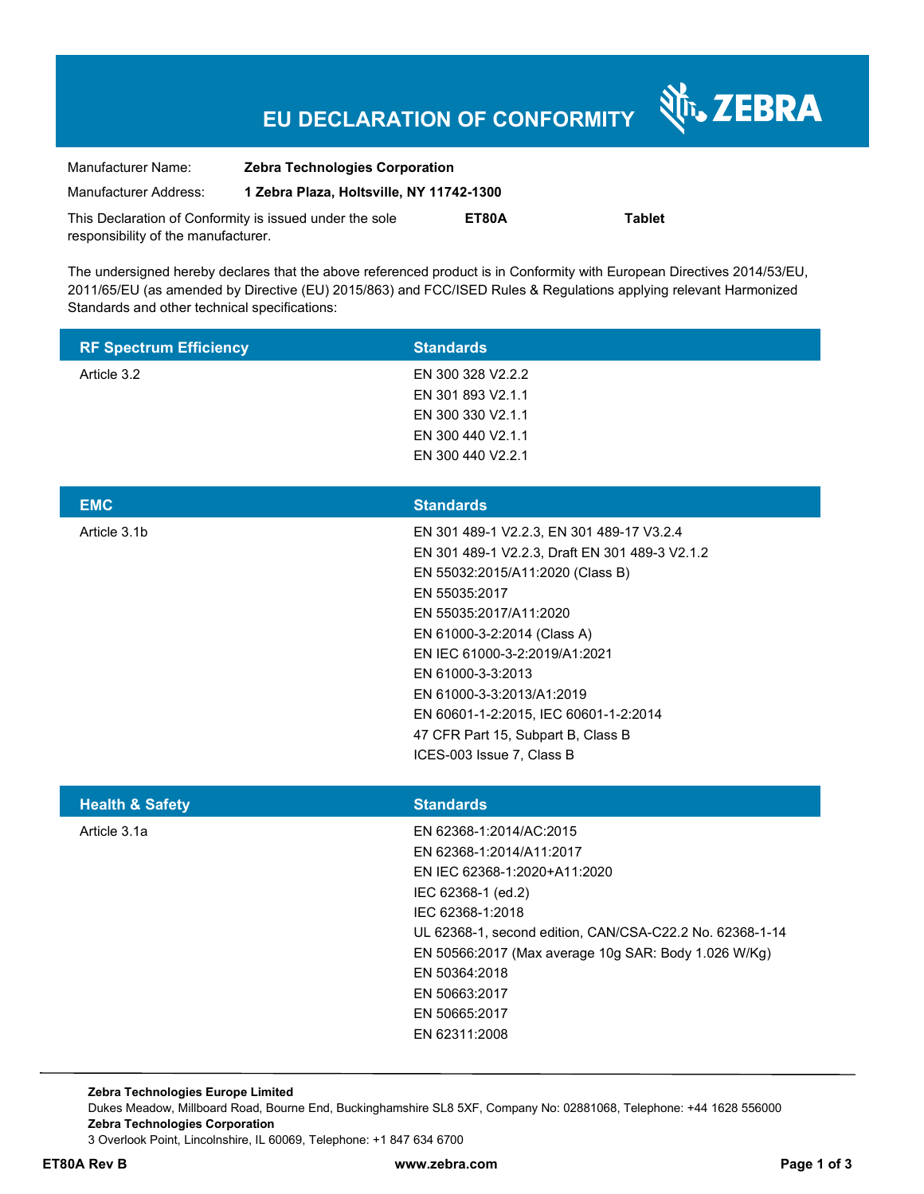# **EU DECLARATION OF CONFORMITY**

| Manufacturer Name:                                      | <b>Zebra Technologies Corporation</b>    |       |               |
|---------------------------------------------------------|------------------------------------------|-------|---------------|
| Manufacturer Address:                                   | 1 Zebra Plaza, Holtsville, NY 11742-1300 |       |               |
| This Declaration of Conformity is issued under the sole |                                          | ET80A | <b>Tablet</b> |
| responsibility of the manufacturer.                     |                                          |       |               |

The undersigned hereby declares that the above referenced product is in Conformity with European Directives 2014/53/EU, 2011/65/EU (as amended by Directive (EU) 2015/863) and FCC/ISED Rules & Regulations applying relevant Harmonized Standards and other technical specifications:

| <b>RF Spectrum Efficiency</b> | <b>Standards</b>                                                                                                                                                                                                                                                                                                                                                                                         |
|-------------------------------|----------------------------------------------------------------------------------------------------------------------------------------------------------------------------------------------------------------------------------------------------------------------------------------------------------------------------------------------------------------------------------------------------------|
| Article 3.2                   | EN 300 328 V2.2.2<br>EN 301 893 V2.1.1<br>EN 300 330 V2.1.1<br>EN 300 440 V2.1.1<br>EN 300 440 V2.2.1                                                                                                                                                                                                                                                                                                    |
| <b>EMC</b>                    | <b>Standards</b>                                                                                                                                                                                                                                                                                                                                                                                         |
| Article 3.1b                  | EN 301 489-1 V2.2.3, EN 301 489-17 V3.2.4<br>EN 301 489-1 V2.2.3, Draft EN 301 489-3 V2.1.2<br>EN 55032:2015/A11:2020 (Class B)<br>EN 55035:2017<br>EN 55035:2017/A11:2020<br>EN 61000-3-2:2014 (Class A)<br>EN IEC 61000-3-2:2019/A1:2021<br>EN 61000-3-3:2013<br>EN 61000-3-3:2013/A1:2019<br>EN 60601-1-2:2015, IEC 60601-1-2:2014<br>47 CFR Part 15, Subpart B, Class B<br>ICES-003 Issue 7, Class B |
| <b>Health &amp; Safety</b>    | <b>Standards</b>                                                                                                                                                                                                                                                                                                                                                                                         |
| Article 3.1a                  | EN 62368-1:2014/AC:2015<br>EN 62368-1:2014/A11:2017<br>EN IEC 62368-1:2020+A11:2020<br>IEC 62368-1 (ed.2)<br>IEC 62368-1:2018<br>UL 62368-1, second edition, CAN/CSA-C22.2 No. 62368-1-14<br>EN 50566:2017 (Max average 10g SAR: Body 1.026 W/Kg)<br>EN 50364:2018<br>EN 50663:2017<br>EN 50665:2017<br>EN 62311:2008                                                                                    |

**Zebra Technologies Europe Limited**  Dukes Meadow, Millboard Road, Bourne End, Buckinghamshire SL8 5XF, Company No: 02881068, Telephone: +44 1628 556000 **Zebra Technologies Corporation**  3 Overlook Point, Lincolnshire, IL 60069, Telephone: +1 847 634 6700

श्री<sub>12</sub> ZEBRA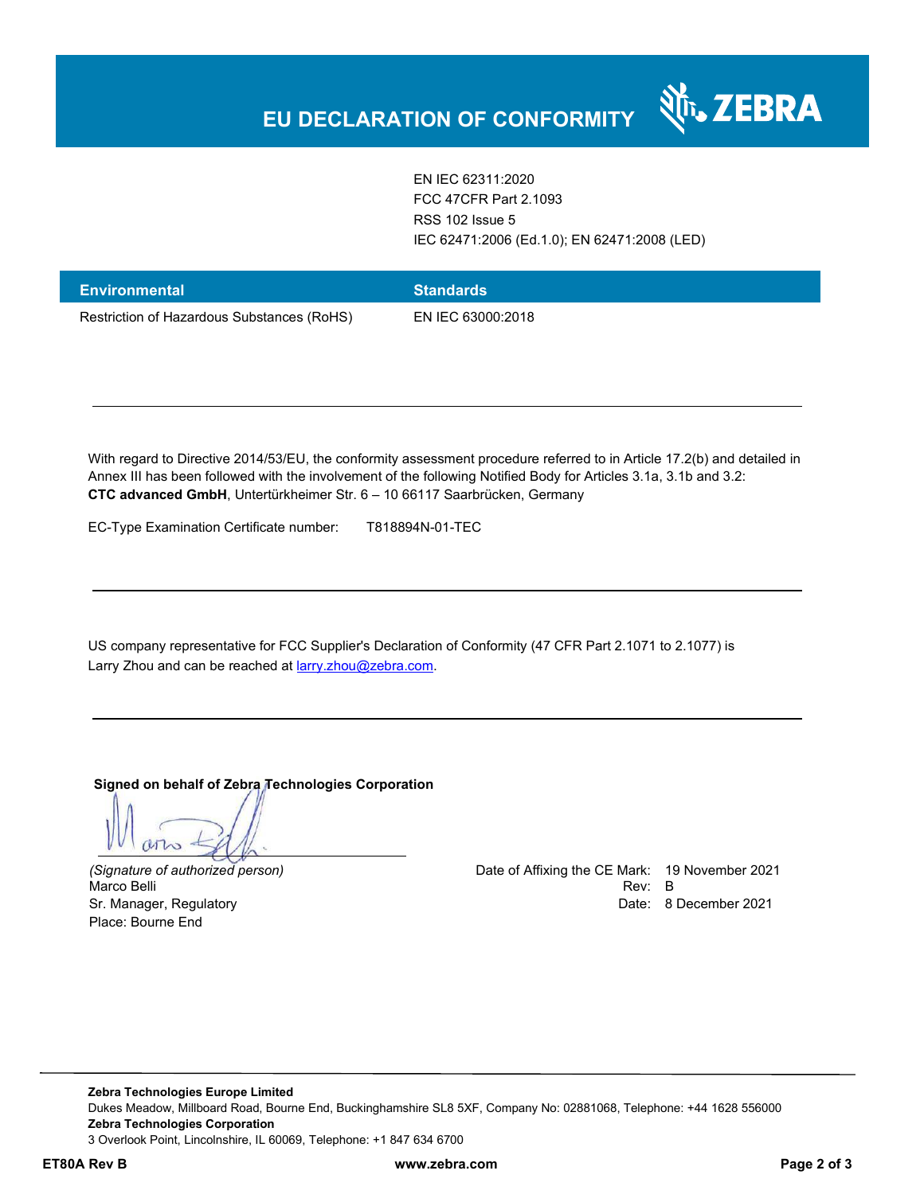

EN IEC 62311:2020 FCC 47CFR Part 2.1093 RSS 102 Issue 5 IEC 62471:2006 (Ed.1.0); EN 62471:2008 (LED)

| <b>Environmental</b>                       | <b>Standards</b>  |
|--------------------------------------------|-------------------|
| Restriction of Hazardous Substances (RoHS) | EN IEC 63000:2018 |

With regard to Directive 2014/53/EU, the conformity assessment procedure referred to in Article 17.2(b) and detailed in Annex III has been followed with the involvement of the following Notified Body for Articles 3.1a, 3.1b and 3.2: **CTC advanced GmbH**, Untertürkheimer Str. 6 – 10 66117 Saarbrücken, Germany

EC-Type Examination Certificate number: T818894N-01-TEC

US company representative for FCC Supplier's Declaration of Conformity (47 CFR Part 2.1071 to 2.1077) is Larry Zhou and can be reached at **larry.zhou@zebra.com**.

**Signed on behalf of Zebra Technologies Corporation** 

 $470$ 

Place: Bourne End

*(Signature of authorized person)* Date of Affixing the CE Mark: 19 November 2021 Marco Belli Rev: B and the contract of the contract of the contract of the contract of the contract of the contract of the contract of the contract of the contract of the contract of the contract of the contract of the con Sr. Manager, Regulatory **Date: 8 December 2021 Date: 8 December 2021** 

**Zebra Technologies Europe Limited**  Dukes Meadow, Millboard Road, Bourne End, Buckinghamshire SL8 5XF, Company No: 02881068, Telephone: +44 1628 556000 **Zebra Technologies Corporation**  3 Overlook Point, Lincolnshire, IL 60069, Telephone: +1 847 634 6700